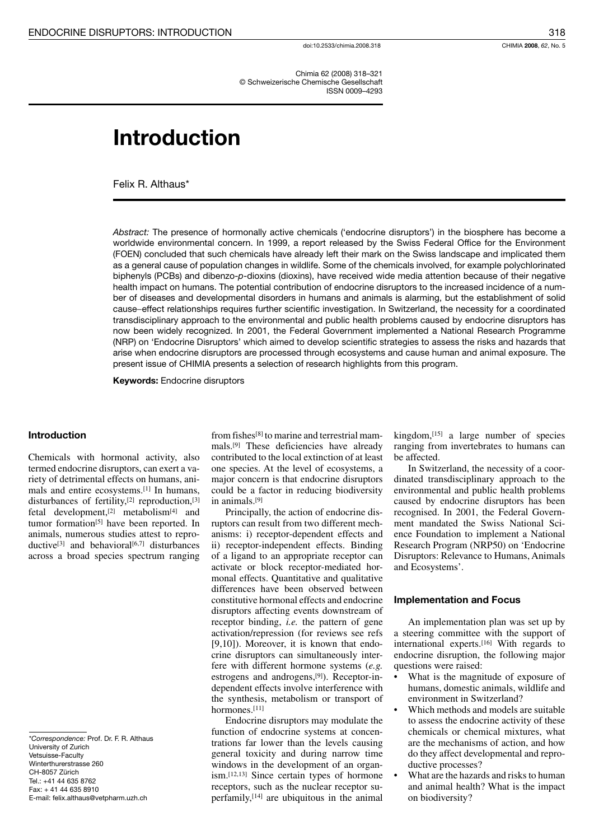# **Introduction**

Felix R. Althaus\*

Abstract: The presence of hormonally active chemicals ('endocrine disruptors') in the biosphere has become a worldwide environmental concern. In 1999, a report released by the Swiss Federal Office for the Environment (FOEN) concluded that such chemicals have already left their mark on the Swiss landscape and implicated them as a general cause of population changes in wildlife. Some of the chemicals involved, for example polychlorinated biphenyls (PCBs) and dibenzo-p-dioxins (dioxins), have received wide media attention because of their negative health impact on humans. The potential contribution of endocrine disruptors to the increased incidence of a number of diseases and developmental disorders in humans and animals is alarming, but the establishment of solid cause-effect relationships requires further scientific investigation. In Switzerland, the necessity for a coordinated transdisciplinary approach to the environmental and public health problems caused by endocrine disruptors has now been widely recognized. In 2001, the Federal Government implemented a National Research Programme (NRP) on 'Endocrine Disruptors' which aimed to develop scientific strategies to assess the risks and hazards that arise when endocrine disruptors are processed through ecosystems and cause human and animal exposure. The present issue of CHIMIA presents a selection of research highlights from this program.

Keywords: Endocrine disruptors

#### **Introduction**

Chemicals with hormonal activity, also termed endocrine disruptors, can exert a variety of detrimental effects on humans, animals and entire ecosystems.<sup>[1]</sup> In humans, disturbances of fertility,<sup>[2]</sup> reproduction,<sup>[3]</sup> fetal development,<sup>[2]</sup> metabolism<sup>[4]</sup> and tumor formation<sup>[5]</sup> have been reported. In animals, numerous studies attest to reproductive<sup>[3]</sup> and behavioral<sup>[6,7]</sup> disturbances across a broad species spectrum ranging

from fishes<sup>[8]</sup> to marine and terrestrial mammals.<sup>[9]</sup> These deficiencies have already contributed to the local extinction of at least one species. At the level of ecosystems, a major concern is that endocrine disruptors could be a factor in reducing biodiversity in animals.[9]

Principally, the action of endocrine disruptors can result from two different mechanisms: i) receptor-dependent effects and ii) receptor-independent effects. Binding of a ligand to an appropriate receptor can activate or block receptor-mediated hormonal effects. Quantitative and qualitative differences have been observed between constitutive hormonal effects and endocrine disruptors affecting events downstream of receptor binding, i.e. the pattern of gene activation/repression (for reviews see refs  $[9,10]$ ). Moreover, it is known that endocrine disruptors can simultaneously interfere with different hormone systems (e.g. estrogens and androgens,<sup>[9]</sup>). Receptor-independent effects involve interference with the synthesis, metabolism or transport of hormones.[11]

Endocrine disruptors may modulate the function of endocrine systems at concentrations far lower than the levels causing general toxicity and during narrow time windows in the development of an organism.[12,13] Since certain types of hormone receptors, such as the nuclear receptor superfamily, $[14]$  are ubiquitous in the animal

kingdom, $[15]$  a large number of species ranging from invertebrates to humans can be affected.

In Switzerland, the necessity of a coordinated transdisciplinary approach to the environmental and public health problems caused by endocrine disruptors has been recognised. In 2001, the Federal Government mandated the Swiss National Science Foundation to implement a National Research Program (NRP50) on 'Endocrine Disruptors: Relevance to Humans, Animals and Ecosystems'.

#### **Implementation and Focus**

An implementation plan was set up by a steering committee with the support of international experts.[16] With regards to endocrine disruption, the following major questions were raised:

- What is the magnitude of exposure of humans, domestic animals, wildlife and environment in Switzerland?
- Which methods and models are suitable to assess the endocrine activity of these chemicals or chemical mixtures, what are the mechanisms of action, and how do they affect developmental and reproductive processes?
- What are the hazards and risks to human and animal health? What is the impact on biodiversity?

<sup>\*</sup>Correspondence: Prof. Dr. F. R. Althaus University of Zurich Vetsuisse-Faculty Winterthurerstrasse 260 CH-8057 Zürich Tel.: +41 44 635 8762 Fax: +41 44 635 8910 E-mail: felix.althaus@vetpharm.uzh.ch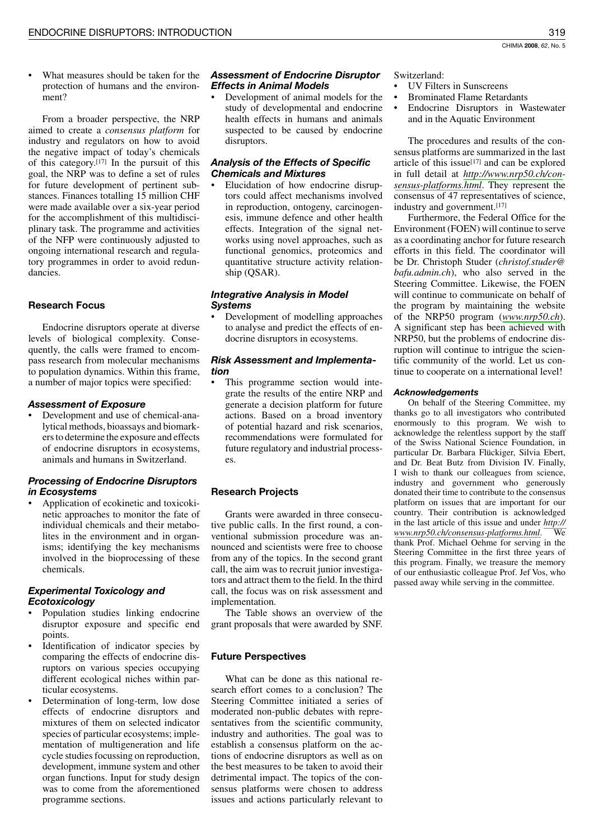What measures should be taken for the protection of humans and the environment?

From a broader perspective, the NRP aimed to create a *consensus platform* for industry and regulators on how to avoid the negative impact of today's chemicals of this category. $[17]$  In the pursuit of this goal, the NRP was to define a set of rules for future development of pertinent substances. Finances totalling 15 million CHF were made available over a six-year period for the accomplishment of this multidisciplinary task. The programme and activities of the NFP were continuously adjusted to ongoing international research and regulatory programmes in order to avoid redundancies.

# **Research Focus**

Endocrine disruptors operate at diverse levels of biological complexity. Consequently, the calls were framed to encompass research from molecular mechanisms to population dynamics. Within this frame, a number of major topics were specified:

#### **Assessment of Exposure**

Development and use of chemical-analytical methods, bioassays and biomarkers to determine the exposure and effects of endocrine disruptors in ecosystems, animals and humans in Switzerland.

## **Processing of Endocrine Disruptors** in Ecosystems

Application of ecokinetic and toxicokinetic approaches to monitor the fate of individual chemicals and their metabolites in the environment and in organisms; identifying the key mechanisms involved in the bioprocessing of these chemicals.

#### **Experimental Toxicology and** Ecotoxicology

- Population studies linking endocrine disruptor exposure and specific end points.
- Identification of indicator species by comparing the effects of endocrine disruptors on various species occupying different ecological niches within particular ecosystems.
- Determination of long-term, low dose effects of endocrine disruptors and mixtures of them on selected indicator species of particular ecosystems; implementation of multigeneration and life cycle studies focussing on reproduction, development, immune system and other organ functions. Input for study design was to come from the aforementioned programme sections.

# **Assessment of Endocrine Disruptor Effects in Animal Models**

Development of animal models for the study of developmental and endocrine health effects in humans and animals suspected to be caused by endocrine disruptors.

## Analysis of the Effects of Specific **Chemicals and Mixtures**

Elucidation of how endocrine disruptors could affect mechanisms involved in reproduction, ontogeny, carcinogenesis, immune defence and other health effects. Integration of the signal networks using novel approaches, such as functional genomics, proteomics and quantitative structure activity relationship (QSAR).

## **Integrative Analysis in Model Systems**

Development of modelling approaches to analyse and predict the effects of endocrine disruptors in ecosystems.

#### **Risk Assessment and Implementa**tion

 $\bullet$ This programme section would integrate the results of the entire NRP and generate a decision platform for future actions. Based on a broad inventory of potential hazard and risk scenarios, recommendations were formulated for future regulatory and industrial processes.

# **Research Projects**

Grants were awarded in three consecutive public calls. In the first round, a conventional submission procedure was announced and scientists were free to choose from any of the topics. In the second grant call, the aim was to recruit junior investigators and attract them to the field. In the third call, the focus was on risk assessment and implementation.

The Table shows an overview of the grant proposals that were awarded by SNF.

# **Future Perspectives**

What can be done as this national research effort comes to a conclusion? The Steering Committee initiated a series of moderated non-public debates with representatives from the scientific community, industry and authorities. The goal was to establish a consensus platform on the actions of endocrine disruptors as well as on the best measures to be taken to avoid their detrimental impact. The topics of the consensus platforms were chosen to address issues and actions particularly relevant to

Switzerland:

- UV Filters in Sunscreens
- **Brominated Flame Retardants**  $\bullet$ Endocrine Disruptors in Wastewater
- and in the Aquatic Environment

The procedures and results of the consensus platforms are summarized in the last article of this issue<sup>[17]</sup> and can be explored in full detail at http://www.nrp50.ch/consensus-platforms.html. They represent the consensus of 47 representatives of science, industry and government.<sup>[17]</sup>

Furthermore, the Federal Office for the Environment (FOEN) will continue to serve as a coordinating anchor for future research efforts in this field. The coordinator will be Dr. Christoph Studer (christof.studer@ bafu.admin.ch), who also served in the Steering Committee. Likewise, the FOEN will continue to communicate on behalf of the program by maintaining the website of the NRP50 program (www.nrp50.ch). A significant step has been achieved with NRP50, but the problems of endocrine disruption will continue to intrigue the scientific community of the world. Let us continue to cooperate on a international level!

#### **Acknowledgements**

On behalf of the Steering Committee, my thanks go to all investigators who contributed enormously to this program. We wish to acknowledge the relentless support by the staff of the Swiss National Science Foundation, in particular Dr. Barbara Flückiger, Silvia Ebert, and Dr. Beat Butz from Division IV. Finally, I wish to thank our colleagues from science, industry and government who generously donated their time to contribute to the consensus platform on issues that are important for our country. Their contribution is acknowledged in the last article of this issue and under http:// www.nrp50.ch/consensus-platforms.html. We thank Prof. Michael Oehme for serving in the Steering Committee in the first three years of this program. Finally, we treasure the memory of our enthusiastic colleague Prof. Jef Vos, who passed away while serving in the committee.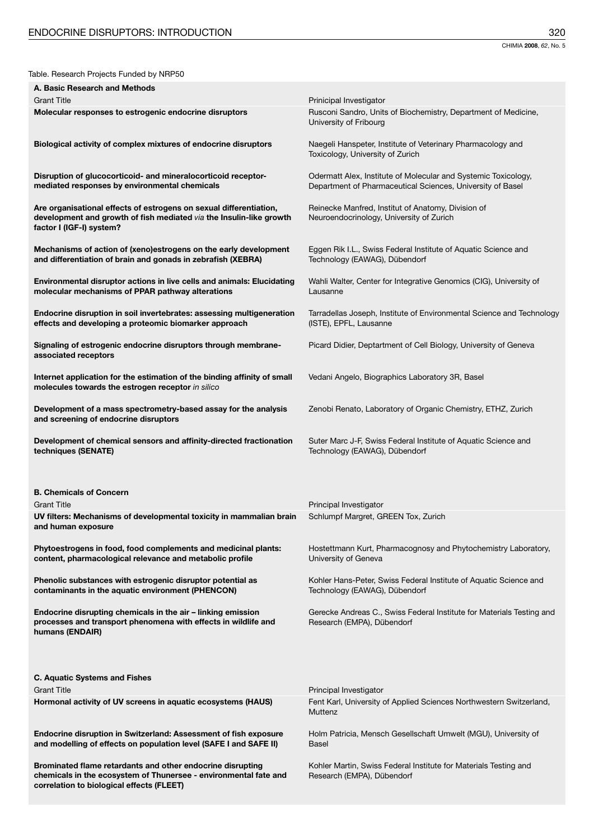Table. Research Projects Funded by NRP50

| A. Basic Research and Methods                                                                                                                                               |                                                                                                                              |
|-----------------------------------------------------------------------------------------------------------------------------------------------------------------------------|------------------------------------------------------------------------------------------------------------------------------|
| <b>Grant Title</b>                                                                                                                                                          | Prinicipal Investigator                                                                                                      |
| Molecular responses to estrogenic endocrine disruptors                                                                                                                      | Rusconi Sandro, Units of Biochemistry, Department of Medicine,<br>University of Fribourg                                     |
| Biological activity of complex mixtures of endocrine disruptors                                                                                                             | Naegeli Hanspeter, Institute of Veterinary Pharmacology and<br>Toxicology, University of Zurich                              |
| Disruption of glucocorticoid- and mineralocorticoid receptor-<br>mediated responses by environmental chemicals                                                              | Odermatt Alex, Institute of Molecular and Systemic Toxicology,<br>Department of Pharmaceutical Sciences, University of Basel |
| Are organisational effects of estrogens on sexual differentiation,<br>development and growth of fish mediated via the Insulin-like growth<br>factor I (IGF-I) system?       | Reinecke Manfred, Institut of Anatomy, Division of<br>Neuroendocrinology, University of Zurich                               |
| Mechanisms of action of (xeno)estrogens on the early development<br>and differentiation of brain and gonads in zebrafish (XEBRA)                                            | Eggen Rik I.L., Swiss Federal Institute of Aquatic Science and<br>Technology (EAWAG), Dübendorf                              |
| Environmental disruptor actions in live cells and animals: Elucidating<br>molecular mechanisms of PPAR pathway alterations                                                  | Wahli Walter, Center for Integrative Genomics (CIG), University of<br>Lausanne                                               |
| Endocrine disruption in soil invertebrates: assessing multigeneration<br>effects and developing a proteomic biomarker approach                                              | Tarradellas Joseph, Institute of Environmental Science and Technology<br>(ISTE), EPFL, Lausanne                              |
| Signaling of estrogenic endocrine disruptors through membrane-<br>associated receptors                                                                                      | Picard Didier, Deptartment of Cell Biology, University of Geneva                                                             |
| Internet application for the estimation of the binding affinity of small<br>molecules towards the estrogen receptor in silico                                               | Vedani Angelo, Biographics Laboratory 3R, Basel                                                                              |
| Development of a mass spectrometry-based assay for the analysis<br>and screening of endocrine disruptors                                                                    | Zenobi Renato, Laboratory of Organic Chemistry, ETHZ, Zurich                                                                 |
| Development of chemical sensors and affinity-directed fractionation<br>techniques (SENATE)                                                                                  | Suter Marc J-F, Swiss Federal Institute of Aquatic Science and<br>Technology (EAWAG), Dübendorf                              |
| <b>B. Chemicals of Concern</b>                                                                                                                                              |                                                                                                                              |
| <b>Grant Title</b>                                                                                                                                                          | Principal Investigator                                                                                                       |
| UV filters: Mechanisms of developmental toxicity in mammalian brain<br>and human exposure                                                                                   | Schlumpf Margret, GREEN Tox, Zurich                                                                                          |
| Phytoestrogens in food, food complements and medicinal plants:<br>content, pharmacological relevance and metabolic profile                                                  | Hostettmann Kurt, Pharmacognosy and Phytochemistry Laboratory,<br>University of Geneva                                       |
| Phenolic substances with estrogenic disruptor potential as<br>contaminants in the aquatic environment (PHENCON)                                                             | Kohler Hans-Peter, Swiss Federal Institute of Aquatic Science and<br>Technology (EAWAG), Dübendorf                           |
| Endocrine disrupting chemicals in the air - linking emission<br>processes and transport phenomena with effects in wildlife and<br>humans (ENDAIR)                           | Gerecke Andreas C., Swiss Federal Institute for Materials Testing and<br>Research (EMPA), Dübendorf                          |
| <b>C. Aquatic Systems and Fishes</b>                                                                                                                                        |                                                                                                                              |
| <b>Grant Title</b>                                                                                                                                                          | Principal Investigator                                                                                                       |
| Hormonal activity of UV screens in aquatic ecosystems (HAUS)                                                                                                                | Fent Karl, University of Applied Sciences Northwestern Switzerland,<br>Muttenz                                               |
| Endocrine disruption in Switzerland: Assessment of fish exposure<br>and modelling of effects on population level (SAFE I and SAFE II)                                       | Holm Patricia, Mensch Gesellschaft Umwelt (MGU), University of<br>Basel                                                      |
| Brominated flame retardants and other endocrine disrupting<br>chemicals in the ecosystem of Thunersee - environmental fate and<br>correlation to biological effects (FLEET) | Kohler Martin, Swiss Federal Institute for Materials Testing and<br>Research (EMPA), Dübendorf                               |